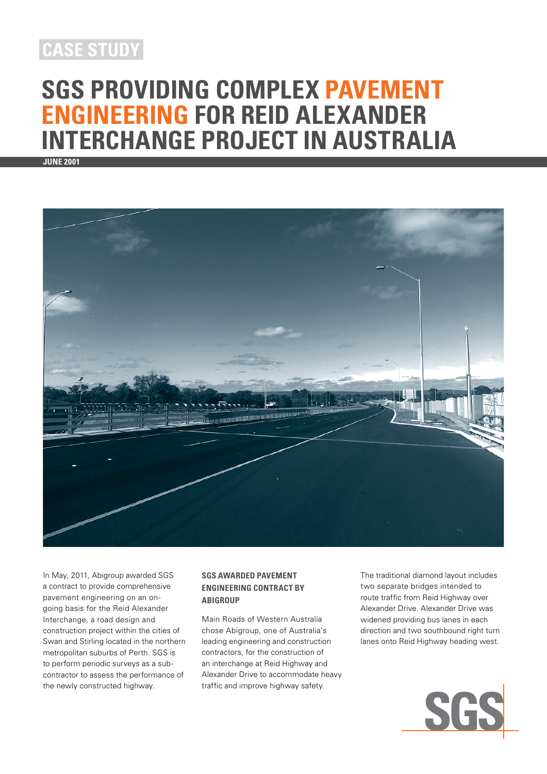## **case study**

# **SGS Providing Complex Pavement Engineering for Reid Alexander Interchange Project in Australia**

**June 2001**



In May, 2011, Abigroup awarded SGS a contract to provide comprehensive pavement engineering on an ongoing basis for the Reid Alexander Interchange, a road design and construction project within the cities of Swan and Stirling located in the northern metropolitan suburbs of Perth. SGS is to perform periodic surveys as a subcontractor to assess the performance of the newly constructed highway.

#### **SGS Awarded Pavement Engineering Contract by Abigroup**

Main Roads of Western Australia chose Abigroup, one of Australia's leading engineering and construction contractors, for the construction of an interchange at Reid Highway and Alexander Drive to accommodate heavy traffic and improve highway safety.

The traditional diamond layout includes two separate bridges intended to route traffic from Reid Highway over Alexander Drive. Alexander Drive was widened providing bus lanes in each direction and two southbound right turn lanes onto Reid Highway heading west.